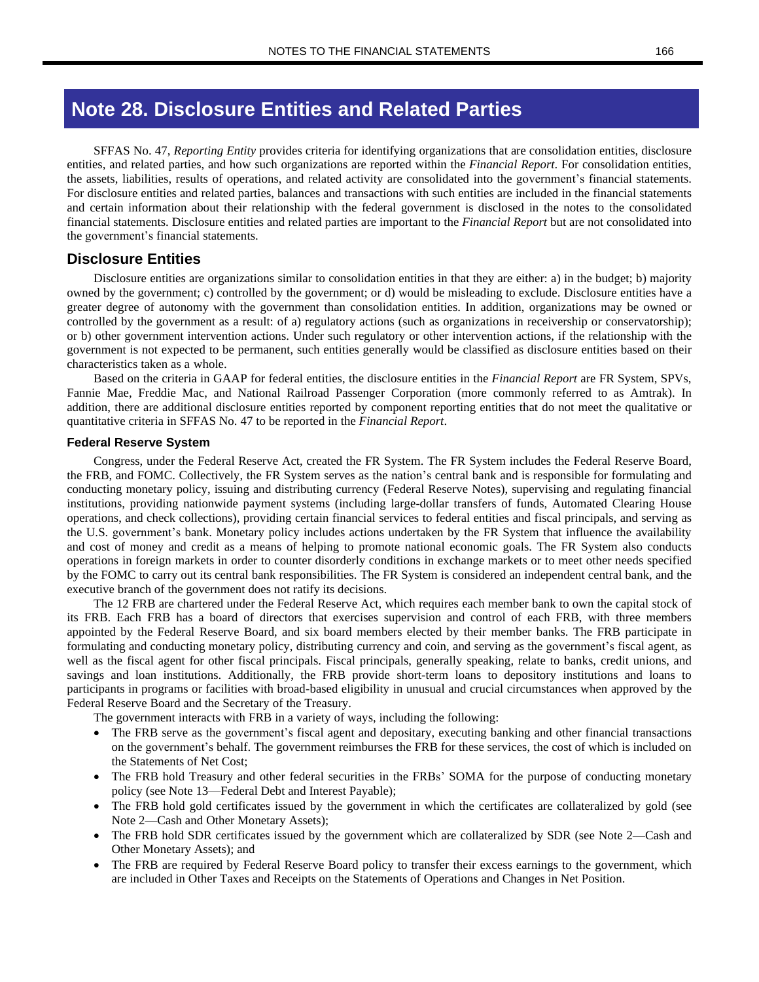# **Note 28. Disclosure Entities and Related Parties**

SFFAS No. 47, *Reporting Entity* provides criteria for identifying organizations that are consolidation entities, disclosure entities, and related parties, and how such organizations are reported within the *Financial Report*. For consolidation entities, the assets, liabilities, results of operations, and related activity are consolidated into the government's financial statements. For disclosure entities and related parties, balances and transactions with such entities are included in the financial statements and certain information about their relationship with the federal government is disclosed in the notes to the consolidated financial statements. Disclosure entities and related parties are important to the *Financial Report* but are not consolidated into the government's financial statements.

## **Disclosure Entities**

Disclosure entities are organizations similar to consolidation entities in that they are either: a) in the budget; b) majority owned by the government; c) controlled by the government; or d) would be misleading to exclude. Disclosure entities have a greater degree of autonomy with the government than consolidation entities. In addition, organizations may be owned or controlled by the government as a result: of a) regulatory actions (such as organizations in receivership or conservatorship); or b) other government intervention actions. Under such regulatory or other intervention actions, if the relationship with the government is not expected to be permanent, such entities generally would be classified as disclosure entities based on their characteristics taken as a whole.

Based on the criteria in GAAP for federal entities, the disclosure entities in the *Financial Report* are FR System, SPVs, Fannie Mae, Freddie Mac, and National Railroad Passenger Corporation (more commonly referred to as Amtrak). In addition, there are additional disclosure entities reported by component reporting entities that do not meet the qualitative or quantitative criteria in SFFAS No. 47 to be reported in the *Financial Report*.

#### **Federal Reserve System**

Congress, under the Federal Reserve Act, created the FR System. The FR System includes the Federal Reserve Board, the FRB, and FOMC. Collectively, the FR System serves as the nation's central bank and is responsible for formulating and conducting monetary policy, issuing and distributing currency (Federal Reserve Notes), supervising and regulating financial institutions, providing nationwide payment systems (including large-dollar transfers of funds, Automated Clearing House operations, and check collections), providing certain financial services to federal entities and fiscal principals, and serving as the U.S. government's bank. Monetary policy includes actions undertaken by the FR System that influence the availability and cost of money and credit as a means of helping to promote national economic goals. The FR System also conducts operations in foreign markets in order to counter disorderly conditions in exchange markets or to meet other needs specified by the FOMC to carry out its central bank responsibilities. The FR System is considered an independent central bank, and the executive branch of the government does not ratify its decisions.

The 12 FRB are chartered under the Federal Reserve Act, which requires each member bank to own the capital stock of its FRB. Each FRB has a board of directors that exercises supervision and control of each FRB, with three members appointed by the Federal Reserve Board, and six board members elected by their member banks. The FRB participate in formulating and conducting monetary policy, distributing currency and coin, and serving as the government's fiscal agent, as well as the fiscal agent for other fiscal principals. Fiscal principals, generally speaking, relate to banks, credit unions, and savings and loan institutions. Additionally, the FRB provide short-term loans to depository institutions and loans to participants in programs or facilities with broad-based eligibility in unusual and crucial circumstances when approved by the Federal Reserve Board and the Secretary of the Treasury.

The government interacts with FRB in a variety of ways, including the following:

- The FRB serve as the government's fiscal agent and depositary, executing banking and other financial transactions on the government's behalf. The government reimburses the FRB for these services, the cost of which is included on the Statements of Net Cost;
- The FRB hold Treasury and other federal securities in the FRBs' SOMA for the purpose of conducting monetary policy (see Note 13—Federal Debt and Interest Payable);
- The FRB hold gold certificates issued by the government in which the certificates are collateralized by gold (see Note 2—Cash and Other Monetary Assets);
- The FRB hold SDR certificates issued by the government which are collateralized by SDR (see Note 2—Cash and Other Monetary Assets); and
- The FRB are required by Federal Reserve Board policy to transfer their excess earnings to the government, which are included in Other Taxes and Receipts on the Statements of Operations and Changes in Net Position.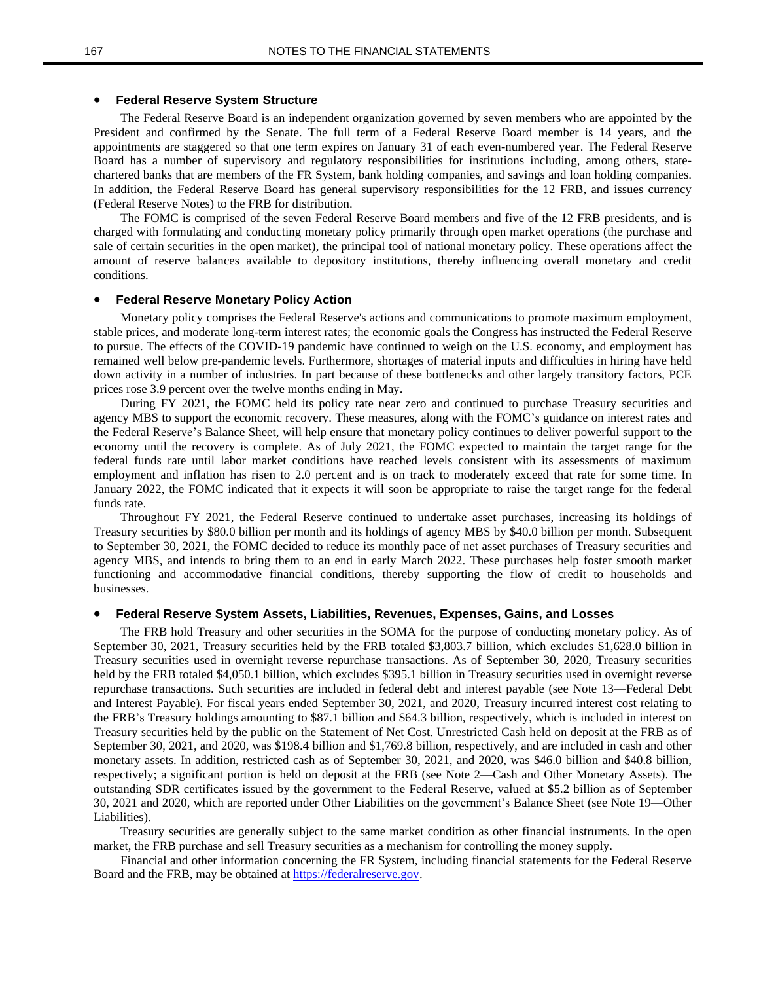#### • **Federal Reserve System Structure**

The Federal Reserve Board is an independent organization governed by seven members who are appointed by the President and confirmed by the Senate. The full term of a Federal Reserve Board member is 14 years, and the appointments are staggered so that one term expires on January 31 of each even-numbered year. The Federal Reserve Board has a number of supervisory and regulatory responsibilities for institutions including, among others, statechartered banks that are members of the FR System, bank holding companies, and savings and loan holding companies. In addition, the Federal Reserve Board has general supervisory responsibilities for the 12 FRB, and issues currency (Federal Reserve Notes) to the FRB for distribution.

The FOMC is comprised of the seven Federal Reserve Board members and five of the 12 FRB presidents, and is charged with formulating and conducting monetary policy primarily through open market operations (the purchase and sale of certain securities in the open market), the principal tool of national monetary policy. These operations affect the amount of reserve balances available to depository institutions, thereby influencing overall monetary and credit conditions.

#### • **Federal Reserve Monetary Policy Action**

Monetary policy comprises the Federal Reserve's actions and communications to promote maximum employment, stable prices, and moderate long-term interest rates; the economic goals the Congress has instructed the Federal Reserve to pursue. The effects of the COVID-19 pandemic have continued to weigh on the U.S. economy, and employment has remained well below pre-pandemic levels. Furthermore, shortages of material inputs and difficulties in hiring have held down activity in a number of industries. In part because of these bottlenecks and other largely transitory factors, PCE prices rose 3.9 percent over the twelve months ending in May.

During FY 2021, the FOMC held its policy rate near zero and continued to purchase Treasury securities and agency MBS to support the economic recovery. These measures, along with the FOMC's guidance on interest rates and the Federal Reserve's Balance Sheet, will help ensure that monetary policy continues to deliver powerful support to the economy until the recovery is complete. As of July 2021, the FOMC expected to maintain the target range for the federal funds rate until labor market conditions have reached levels consistent with its assessments of maximum employment and inflation has risen to 2.0 percent and is on track to moderately exceed that rate for some time. In January 2022, the FOMC indicated that it expects it will soon be appropriate to raise the target range for the federal funds rate.

Throughout FY 2021, the Federal Reserve continued to undertake asset purchases, increasing its holdings of Treasury securities by \$80.0 billion per month and its holdings of agency MBS by \$40.0 billion per month. Subsequent to September 30, 2021, the FOMC decided to reduce its monthly pace of net asset purchases of Treasury securities and agency MBS, and intends to bring them to an end in early March 2022. These purchases help foster smooth market functioning and accommodative financial conditions, thereby supporting the flow of credit to households and businesses.

#### • **Federal Reserve System Assets, Liabilities, Revenues, Expenses, Gains, and Losses**

The FRB hold Treasury and other securities in the SOMA for the purpose of conducting monetary policy. As of September 30, 2021, Treasury securities held by the FRB totaled \$3,803.7 billion, which excludes \$1,628.0 billion in Treasury securities used in overnight reverse repurchase transactions. As of September 30, 2020, Treasury securities held by the FRB totaled \$4,050.1 billion, which excludes \$395.1 billion in Treasury securities used in overnight reverse repurchase transactions. Such securities are included in federal debt and interest payable (see Note 13—Federal Debt and Interest Payable). For fiscal years ended September 30, 2021, and 2020, Treasury incurred interest cost relating to the FRB's Treasury holdings amounting to \$87.1 billion and \$64.3 billion, respectively, which is included in interest on Treasury securities held by the public on the Statement of Net Cost. Unrestricted Cash held on deposit at the FRB as of September 30, 2021, and 2020, was \$198.4 billion and \$1,769.8 billion, respectively, and are included in cash and other monetary assets. In addition, restricted cash as of September 30, 2021, and 2020, was \$46.0 billion and \$40.8 billion, respectively; a significant portion is held on deposit at the FRB (see Note 2—Cash and Other Monetary Assets). The outstanding SDR certificates issued by the government to the Federal Reserve, valued at \$5.2 billion as of September 30, 2021 and 2020, which are reported under Other Liabilities on the government's Balance Sheet (see Note 19—Other Liabilities).

Treasury securities are generally subject to the same market condition as other financial instruments. In the open market, the FRB purchase and sell Treasury securities as a mechanism for controlling the money supply.

Financial and other information concerning the FR System, including financial statements for the Federal Reserve Board and the FRB, may be obtained at [https://federalreserve.gov.](https://www.federalreserve.gov/)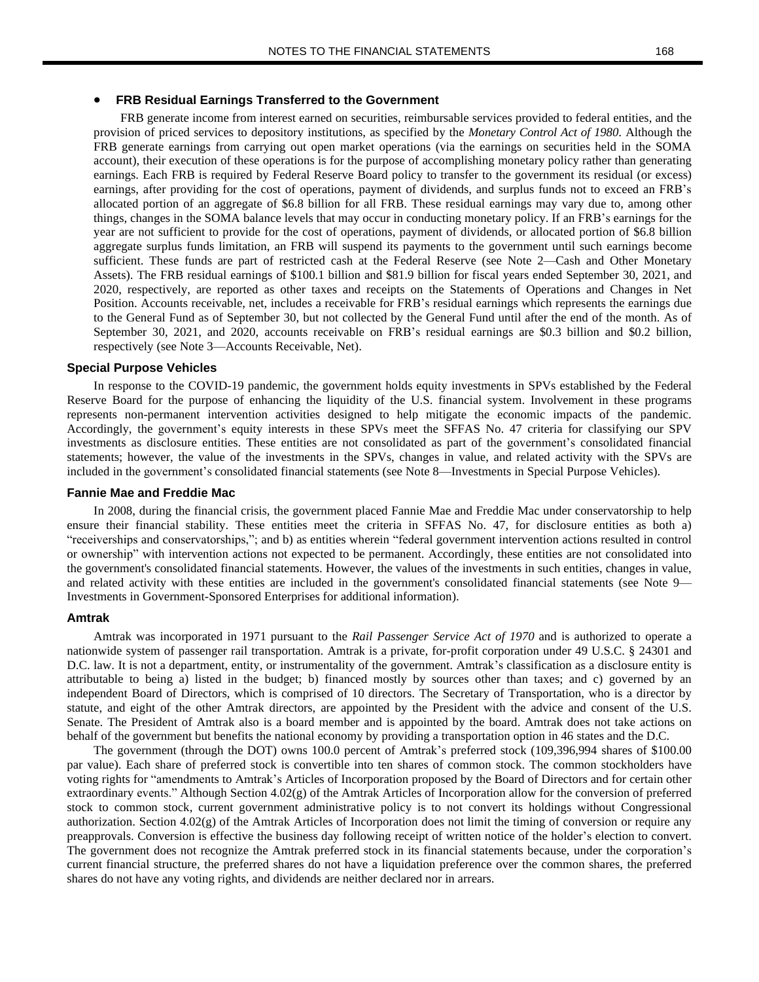#### • **FRB Residual Earnings Transferred to the Government**

FRB generate income from interest earned on securities, reimbursable services provided to federal entities, and the provision of priced services to depository institutions, as specified by the *Monetary Control Act of 1980*. Although the FRB generate earnings from carrying out open market operations (via the earnings on securities held in the SOMA account), their execution of these operations is for the purpose of accomplishing monetary policy rather than generating earnings. Each FRB is required by Federal Reserve Board policy to transfer to the government its residual (or excess) earnings, after providing for the cost of operations, payment of dividends, and surplus funds not to exceed an FRB's allocated portion of an aggregate of \$6.8 billion for all FRB. These residual earnings may vary due to, among other things, changes in the SOMA balance levels that may occur in conducting monetary policy. If an FRB's earnings for the year are not sufficient to provide for the cost of operations, payment of dividends, or allocated portion of \$6.8 billion aggregate surplus funds limitation, an FRB will suspend its payments to the government until such earnings become sufficient. These funds are part of restricted cash at the Federal Reserve (see Note 2—Cash and Other Monetary Assets). The FRB residual earnings of \$100.1 billion and \$81.9 billion for fiscal years ended September 30, 2021, and 2020, respectively, are reported as other taxes and receipts on the Statements of Operations and Changes in Net Position. Accounts receivable, net, includes a receivable for FRB's residual earnings which represents the earnings due to the General Fund as of September 30, but not collected by the General Fund until after the end of the month. As of September 30, 2021, and 2020, accounts receivable on FRB's residual earnings are \$0.3 billion and \$0.2 billion, respectively (see Note 3—Accounts Receivable, Net).

#### **Special Purpose Vehicles**

In response to the COVID-19 pandemic, the government holds equity investments in SPVs established by the Federal Reserve Board for the purpose of enhancing the liquidity of the U.S. financial system. Involvement in these programs represents non-permanent intervention activities designed to help mitigate the economic impacts of the pandemic. Accordingly, the government's equity interests in these SPVs meet the SFFAS No. 47 criteria for classifying our SPV investments as disclosure entities. These entities are not consolidated as part of the government's consolidated financial statements; however, the value of the investments in the SPVs, changes in value, and related activity with the SPVs are included in the government's consolidated financial statements (see Note 8—Investments in Special Purpose Vehicles).

#### **Fannie Mae and Freddie Mac**

In 2008, during the financial crisis, the government placed Fannie Mae and Freddie Mac under conservatorship to help ensure their financial stability. These entities meet the criteria in SFFAS No. 47, for disclosure entities as both a) "receiverships and conservatorships,"; and b) as entities wherein "federal government intervention actions resulted in control or ownership" with intervention actions not expected to be permanent. Accordingly, these entities are not consolidated into the government's consolidated financial statements. However, the values of the investments in such entities, changes in value, and related activity with these entities are included in the government's consolidated financial statements (see Note 9— Investments in Government-Sponsored Enterprises for additional information).

#### **Amtrak**

Amtrak was incorporated in 1971 pursuant to the *Rail Passenger Service Act of 1970* and is authorized to operate a nationwide system of passenger rail transportation. Amtrak is a private, for-profit corporation under 49 U.S.C. § 24301 and D.C. law. It is not a department, entity, or instrumentality of the government. Amtrak's classification as a disclosure entity is attributable to being a) listed in the budget; b) financed mostly by sources other than taxes; and c) governed by an independent Board of Directors, which is comprised of 10 directors. The Secretary of Transportation, who is a director by statute, and eight of the other Amtrak directors, are appointed by the President with the advice and consent of the U.S. Senate. The President of Amtrak also is a board member and is appointed by the board. Amtrak does not take actions on behalf of the government but benefits the national economy by providing a transportation option in 46 states and the D.C.

The government (through the DOT) owns 100.0 percent of Amtrak's preferred stock (109,396,994 shares of \$100.00 par value). Each share of preferred stock is convertible into ten shares of common stock. The common stockholders have voting rights for "amendments to Amtrak's Articles of Incorporation proposed by the Board of Directors and for certain other extraordinary events." Although Section 4.02(g) of the Amtrak Articles of Incorporation allow for the conversion of preferred stock to common stock, current government administrative policy is to not convert its holdings without Congressional authorization. Section 4.02(g) of the Amtrak Articles of Incorporation does not limit the timing of conversion or require any preapprovals. Conversion is effective the business day following receipt of written notice of the holder's election to convert. The government does not recognize the Amtrak preferred stock in its financial statements because, under the corporation's current financial structure, the preferred shares do not have a liquidation preference over the common shares, the preferred shares do not have any voting rights, and dividends are neither declared nor in arrears.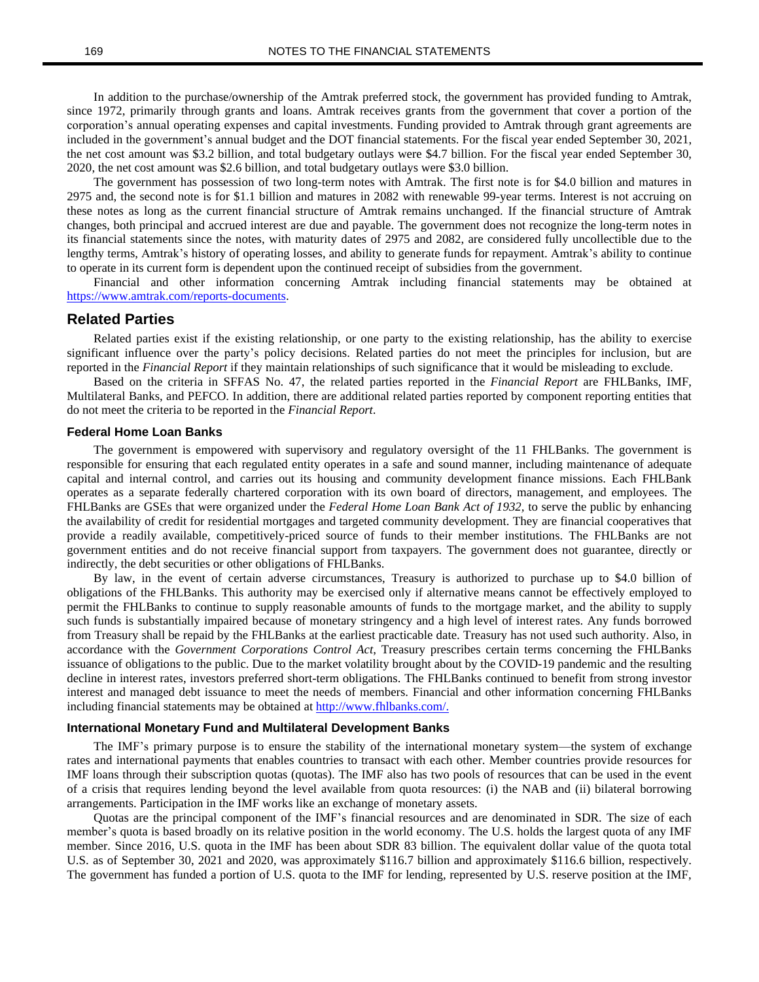In addition to the purchase/ownership of the Amtrak preferred stock, the government has provided funding to Amtrak, since 1972, primarily through grants and loans. Amtrak receives grants from the government that cover a portion of the corporation's annual operating expenses and capital investments. Funding provided to Amtrak through grant agreements are included in the government's annual budget and the DOT financial statements. For the fiscal year ended September 30, 2021, the net cost amount was \$3.2 billion, and total budgetary outlays were \$4.7 billion. For the fiscal year ended September 30, 2020, the net cost amount was \$2.6 billion, and total budgetary outlays were \$3.0 billion.

The government has possession of two long-term notes with Amtrak. The first note is for \$4.0 billion and matures in 2975 and, the second note is for \$1.1 billion and matures in 2082 with renewable 99-year terms. Interest is not accruing on these notes as long as the current financial structure of Amtrak remains unchanged. If the financial structure of Amtrak changes, both principal and accrued interest are due and payable. The government does not recognize the long-term notes in its financial statements since the notes, with maturity dates of 2975 and 2082, are considered fully uncollectible due to the lengthy terms, Amtrak's history of operating losses, and ability to generate funds for repayment. Amtrak's ability to continue to operate in its current form is dependent upon the continued receipt of subsidies from the government.

Financial and other information concerning Amtrak including financial statements may be obtained at [https://www.amtrak.com/reports-documents.](https://www.amtrak.com/reports-documents)

### **Related Parties**

Related parties exist if the existing relationship, or one party to the existing relationship, has the ability to exercise significant influence over the party's policy decisions. Related parties do not meet the principles for inclusion, but are reported in the *Financial Report* if they maintain relationships of such significance that it would be misleading to exclude.

Based on the criteria in SFFAS No. 47, the related parties reported in the *Financial Report* are FHLBanks, IMF, Multilateral Banks, and PEFCO. In addition, there are additional related parties reported by component reporting entities that do not meet the criteria to be reported in the *Financial Report*.

#### **Federal Home Loan Banks**

The government is empowered with supervisory and regulatory oversight of the 11 FHLBanks. The government is responsible for ensuring that each regulated entity operates in a safe and sound manner, including maintenance of adequate capital and internal control, and carries out its housing and community development finance missions. Each FHLBank operates as a separate federally chartered corporation with its own board of directors, management, and employees. The FHLBanks are GSEs that were organized under the *Federal Home Loan Bank Act of 1932,* to serve the public by enhancing the availability of credit for residential mortgages and targeted community development. They are financial cooperatives that provide a readily available, competitively-priced source of funds to their member institutions. The FHLBanks are not government entities and do not receive financial support from taxpayers. The government does not guarantee, directly or indirectly, the debt securities or other obligations of FHLBanks.

By law, in the event of certain adverse circumstances, Treasury is authorized to purchase up to \$4.0 billion of obligations of the FHLBanks. This authority may be exercised only if alternative means cannot be effectively employed to permit the FHLBanks to continue to supply reasonable amounts of funds to the mortgage market, and the ability to supply such funds is substantially impaired because of monetary stringency and a high level of interest rates. Any funds borrowed from Treasury shall be repaid by the FHLBanks at the earliest practicable date. Treasury has not used such authority. Also, in accordance with the *Government Corporations Control Act*, Treasury prescribes certain terms concerning the FHLBanks issuance of obligations to the public. Due to the market volatility brought about by the COVID-19 pandemic and the resulting decline in interest rates, investors preferred short-term obligations. The FHLBanks continued to benefit from strong investor interest and managed debt issuance to meet the needs of members. Financial and other information concerning FHLBanks including financial statements may be obtained at [http://www.fhlbanks.com/.](http://www.fhlbanks.com/)

#### **International Monetary Fund and Multilateral Development Banks**

The IMF's primary purpose is to ensure the stability of the international monetary system—the system of exchange rates and international payments that enables countries to transact with each other. Member countries provide resources for IMF loans through their subscription quotas (quotas). The IMF also has two pools of resources that can be used in the event of a crisis that requires lending beyond the level available from quota resources: (i) the NAB and (ii) bilateral borrowing arrangements. Participation in the IMF works like an exchange of monetary assets.

Quotas are the principal component of the IMF's financial resources and are denominated in SDR. The size of each member's quota is based broadly on its relative position in the world economy. The U.S. holds the largest quota of any IMF member. Since 2016, U.S. quota in the IMF has been about SDR 83 billion. The equivalent dollar value of the quota total U.S. as of September 30, 2021 and 2020, was approximately \$116.7 billion and approximately \$116.6 billion, respectively. The government has funded a portion of U.S. quota to the IMF for lending, represented by U.S. reserve position at the IMF,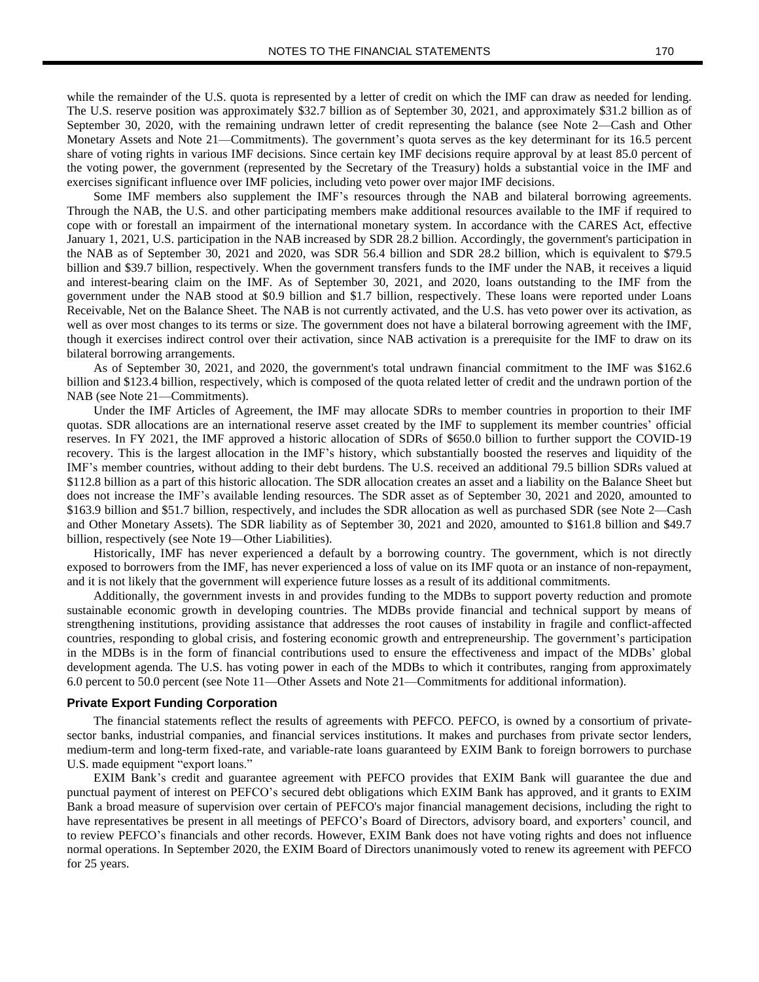while the remainder of the U.S. quota is represented by a letter of credit on which the IMF can draw as needed for lending. The U.S. reserve position was approximately \$32.7 billion as of September 30, 2021, and approximately \$31.2 billion as of September 30, 2020, with the remaining undrawn letter of credit representing the balance (see Note 2—Cash and Other Monetary Assets and Note 21—Commitments). The government's quota serves as the key determinant for its 16.5 percent share of voting rights in various IMF decisions. Since certain key IMF decisions require approval by at least 85.0 percent of the voting power, the government (represented by the Secretary of the Treasury) holds a substantial voice in the IMF and exercises significant influence over IMF policies, including veto power over major IMF decisions.

Some IMF members also supplement the IMF's resources through the NAB and bilateral borrowing agreements. Through the NAB, the U.S. and other participating members make additional resources available to the IMF if required to cope with or forestall an impairment of the international monetary system. In accordance with the CARES Act, effective January 1, 2021, U.S. participation in the NAB increased by SDR 28.2 billion. Accordingly, the government's participation in the NAB as of September 30, 2021 and 2020, was SDR 56.4 billion and SDR 28.2 billion, which is equivalent to \$79.5 billion and \$39.7 billion, respectively. When the government transfers funds to the IMF under the NAB, it receives a liquid and interest-bearing claim on the IMF. As of September 30, 2021, and 2020, loans outstanding to the IMF from the government under the NAB stood at \$0.9 billion and \$1.7 billion, respectively. These loans were reported under Loans Receivable, Net on the Balance Sheet. The NAB is not currently activated, and the U.S. has veto power over its activation, as well as over most changes to its terms or size. The government does not have a bilateral borrowing agreement with the IMF, though it exercises indirect control over their activation, since NAB activation is a prerequisite for the IMF to draw on its bilateral borrowing arrangements.

As of September 30, 2021, and 2020, the government's total undrawn financial commitment to the IMF was \$162.6 billion and \$123.4 billion, respectively, which is composed of the quota related letter of credit and the undrawn portion of the NAB (see Note 21—Commitments).

Under the IMF Articles of Agreement, the IMF may allocate SDRs to member countries in proportion to their IMF quotas. SDR allocations are an international reserve asset created by the IMF to supplement its member countries' official reserves. In FY 2021, the IMF approved a historic allocation of SDRs of \$650.0 billion to further support the COVID-19 recovery. This is the largest allocation in the IMF's history, which substantially boosted the reserves and liquidity of the IMF's member countries, without adding to their debt burdens. The U.S. received an additional 79.5 billion SDRs valued at \$112.8 billion as a part of this historic allocation. The SDR allocation creates an asset and a liability on the Balance Sheet but does not increase the IMF's available lending resources. The SDR asset as of September 30, 2021 and 2020, amounted to \$163.9 billion and \$51.7 billion, respectively, and includes the SDR allocation as well as purchased SDR (see Note 2—Cash and Other Monetary Assets). The SDR liability as of September 30, 2021 and 2020, amounted to \$161.8 billion and \$49.7 billion, respectively (see Note 19—Other Liabilities).

Historically, IMF has never experienced a default by a borrowing country. The government, which is not directly exposed to borrowers from the IMF, has never experienced a loss of value on its IMF quota or an instance of non-repayment, and it is not likely that the government will experience future losses as a result of its additional commitments.

Additionally, the government invests in and provides funding to the MDBs to support poverty reduction and promote sustainable economic growth in developing countries. The MDBs provide financial and technical support by means of strengthening institutions, providing assistance that addresses the root causes of instability in fragile and conflict-affected countries, responding to global crisis, and fostering economic growth and entrepreneurship. The government's participation in the MDBs is in the form of financial contributions used to ensure the effectiveness and impact of the MDBs' global development agenda. The U.S. has voting power in each of the MDBs to which it contributes, ranging from approximately 6.0 percent to 50.0 percent (see Note 11—Other Assets and Note 21—Commitments for additional information).

#### **Private Export Funding Corporation**

The financial statements reflect the results of agreements with PEFCO. PEFCO, is owned by a consortium of privatesector banks, industrial companies, and financial services institutions. It makes and purchases from private sector lenders, medium-term and long-term fixed-rate, and variable-rate loans guaranteed by EXIM Bank to foreign borrowers to purchase U.S. made equipment "export loans."

EXIM Bank's credit and guarantee agreement with PEFCO provides that EXIM Bank will guarantee the due and punctual payment of interest on PEFCO's secured debt obligations which EXIM Bank has approved, and it grants to EXIM Bank a broad measure of supervision over certain of PEFCO's major financial management decisions, including the right to have representatives be present in all meetings of PEFCO's Board of Directors, advisory board, and exporters' council, and to review PEFCO's financials and other records. However, EXIM Bank does not have voting rights and does not influence normal operations. In September 2020, the EXIM Board of Directors unanimously voted to renew its agreement with PEFCO for 25 years.